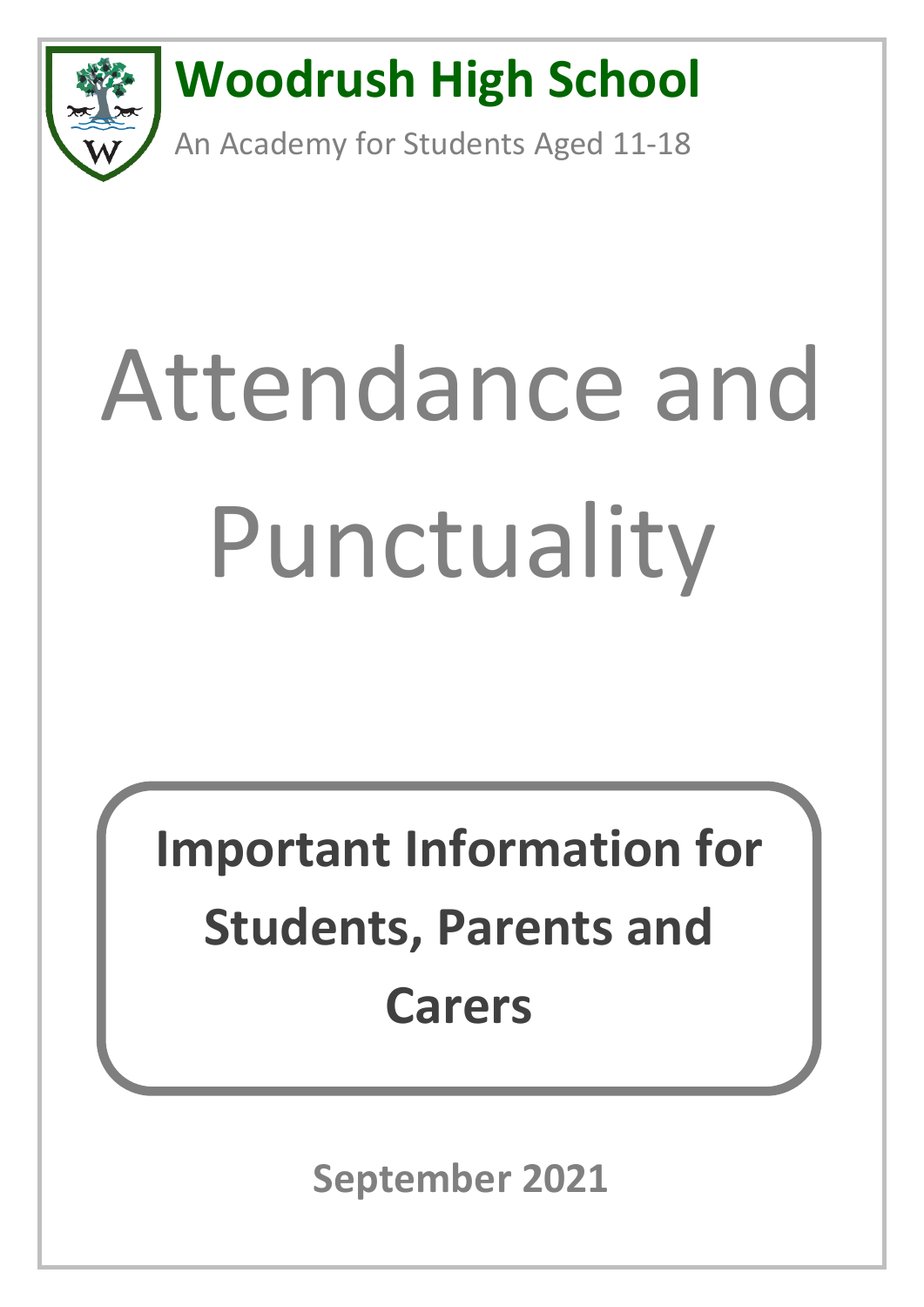

# Attendance and Punctuality

**Important Information for Students, Parents and Carers**

**September 2021**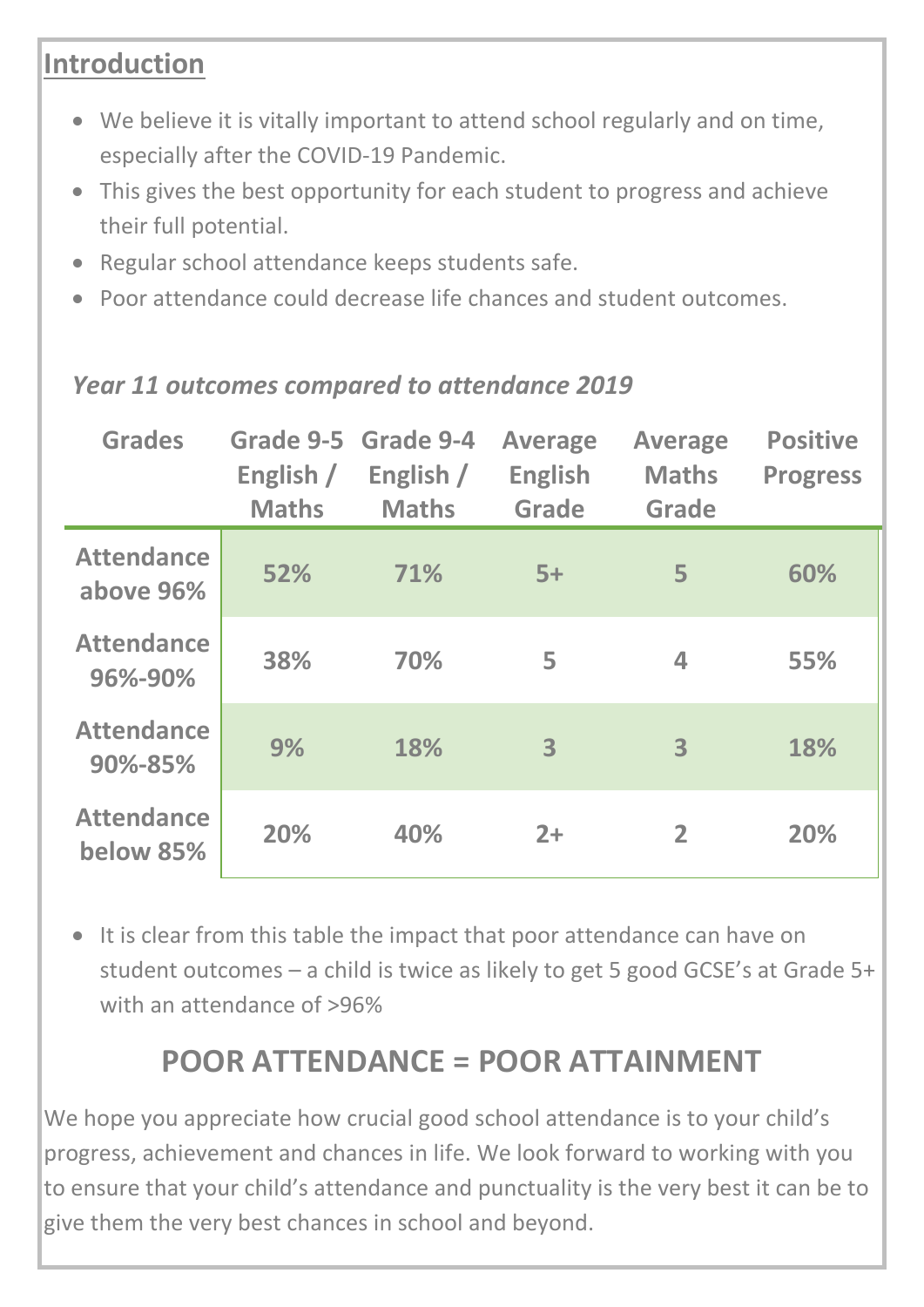## **Introduction**

- We believe it is vitally important to attend school regularly and on time, especially after the COVID-19 Pandemic.
- This gives the best opportunity for each student to progress and achieve their full potential.
- Regular school attendance keeps students safe.
- Poor attendance could decrease life chances and student outcomes.

| <b>Grades</b>                  | Grade 9-5 Grade 9-4<br>English /<br><b>Maths</b> | English /<br><b>Maths</b> | <b>Average</b><br><b>English</b><br><b>Grade</b> | <b>Average</b><br><b>Maths</b><br><b>Grade</b> | <b>Positive</b><br><b>Progress</b> |
|--------------------------------|--------------------------------------------------|---------------------------|--------------------------------------------------|------------------------------------------------|------------------------------------|
| <b>Attendance</b><br>above 96% | 52%                                              | 71%                       | $5+$                                             | 5                                              | 60%                                |
| <b>Attendance</b><br>96%-90%   | 38%                                              | 70%                       | 5                                                | $\blacktriangle$                               | 55%                                |
| <b>Attendance</b><br>90%-85%   | 9%                                               | 18%                       | 3                                                | 3                                              | 18%                                |
| <b>Attendance</b><br>below 85% | 20%                                              | 40%                       | $2+$                                             | $\overline{2}$                                 | 20%                                |

#### *Year 11 outcomes compared to attendance 2019*

• It is clear from this table the impact that poor attendance can have on student outcomes – a child is twice as likely to get 5 good GCSE's at Grade 5+ with an attendance of >96%

## **POOR ATTENDANCE = POOR ATTAINMENT**

We hope you appreciate how crucial good school attendance is to your child's progress, achievement and chances in life. We look forward to working with you to ensure that your child's attendance and punctuality is the very best it can be to give them the very best chances in school and beyond.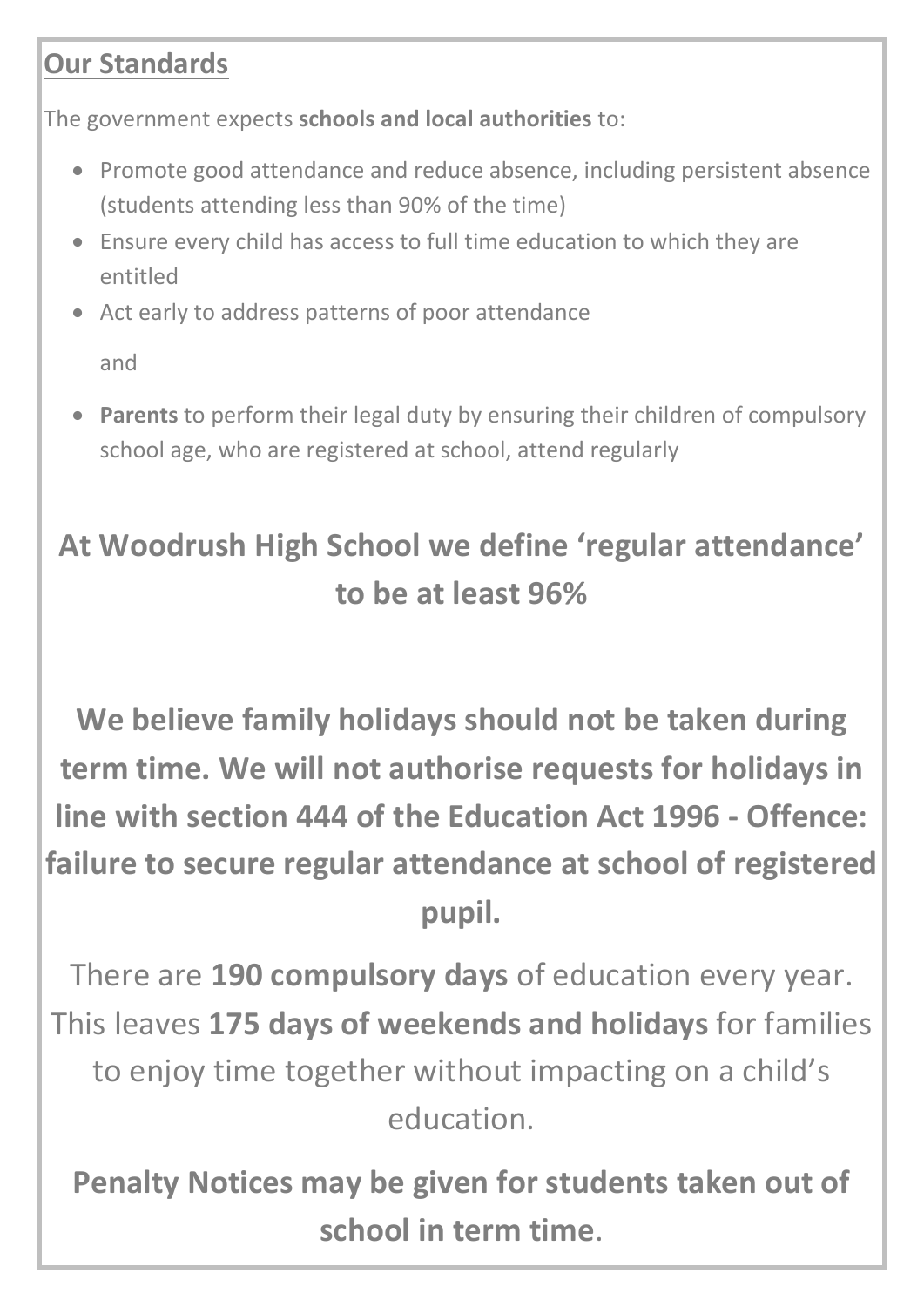## **Our Standards**

The government expects **schools and local authorities** to:

- Promote good attendance and reduce absence, including persistent absence (students attending less than 90% of the time)
- Ensure every child has access to full time education to which they are entitled
- Act early to address patterns of poor attendance

and

• **Parents** to perform their legal duty by ensuring their children of compulsory school age, who are registered at school, attend regularly

## **At Woodrush High School we define 'regular attendance' to be at least 96%**

**We believe family holidays should not be taken during term time. We will not authorise requests for holidays in line with section 444 of the Education Act 1996 - Offence: failure to secure regular attendance at school of registered pupil.**

There are **190 compulsory days** of education every year. This leaves **175 days of weekends and holidays** for families to enjoy time together without impacting on a child's education.

**Penalty Notices may be given for students taken out of school in term time**.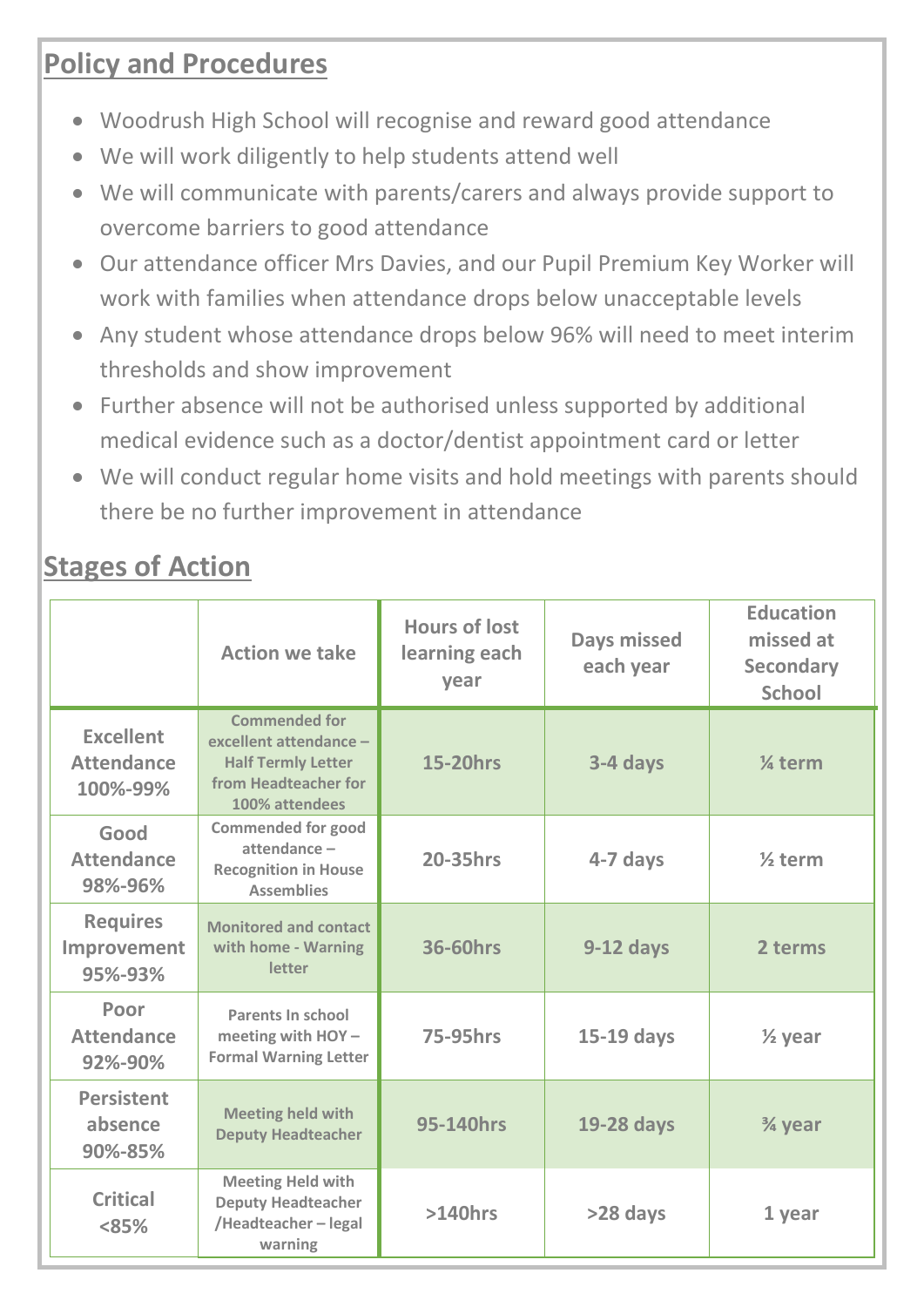### **Policy and Procedures**

- Woodrush High School will recognise and reward good attendance
- We will work diligently to help students attend well
- We will communicate with parents/carers and always provide support to overcome barriers to good attendance
- Our attendance officer Mrs Davies, and our Pupil Premium Key Worker will work with families when attendance drops below unacceptable levels
- Any student whose attendance drops below 96% will need to meet interim thresholds and show improvement
- Further absence will not be authorised unless supported by additional medical evidence such as a doctor/dentist appointment card or letter
- We will conduct regular home visits and hold meetings with parents should there be no further improvement in attendance

## **Stages of Action**

|                                                   | <b>Action we take</b>                                                                                                 | <b>Hours of lost</b><br>learning each<br>year | <b>Days missed</b><br>each year | <b>Education</b><br>missed at<br><b>Secondary</b><br><b>School</b> |
|---------------------------------------------------|-----------------------------------------------------------------------------------------------------------------------|-----------------------------------------------|---------------------------------|--------------------------------------------------------------------|
| <b>Excellent</b><br><b>Attendance</b><br>100%-99% | <b>Commended for</b><br>excellent attendance -<br><b>Half Termly Letter</b><br>from Headteacher for<br>100% attendees | <b>15-20hrs</b>                               | 3-4 days                        | % term                                                             |
| Good<br><b>Attendance</b><br>98%-96%              | <b>Commended for good</b><br>attendance-<br><b>Recognition in House</b><br><b>Assemblies</b>                          | <b>20-35hrs</b>                               | 4-7 days                        | $\frac{1}{2}$ term                                                 |
| <b>Requires</b><br>Improvement<br>95%-93%         | <b>Monitored and contact</b><br>with home - Warning<br>letter                                                         | <b>36-60hrs</b>                               | $9-12$ days                     | 2 terms                                                            |
| Poor<br><b>Attendance</b><br>92%-90%              | Parents In school<br>meeting with HOY -<br><b>Formal Warning Letter</b>                                               | <b>75-95hrs</b>                               | 15-19 days                      | $\frac{1}{2}$ year                                                 |
| <b>Persistent</b><br>absence<br>90%-85%           | <b>Meeting held with</b><br><b>Deputy Headteacher</b>                                                                 | 95-140hrs                                     | 19-28 days                      | 3⁄4 year                                                           |
| <b>Critical</b><br><85%                           | <b>Meeting Held with</b><br><b>Deputy Headteacher</b><br>/Headteacher-legal<br>warning                                | $>140$ hrs                                    | >28 days                        | 1 year                                                             |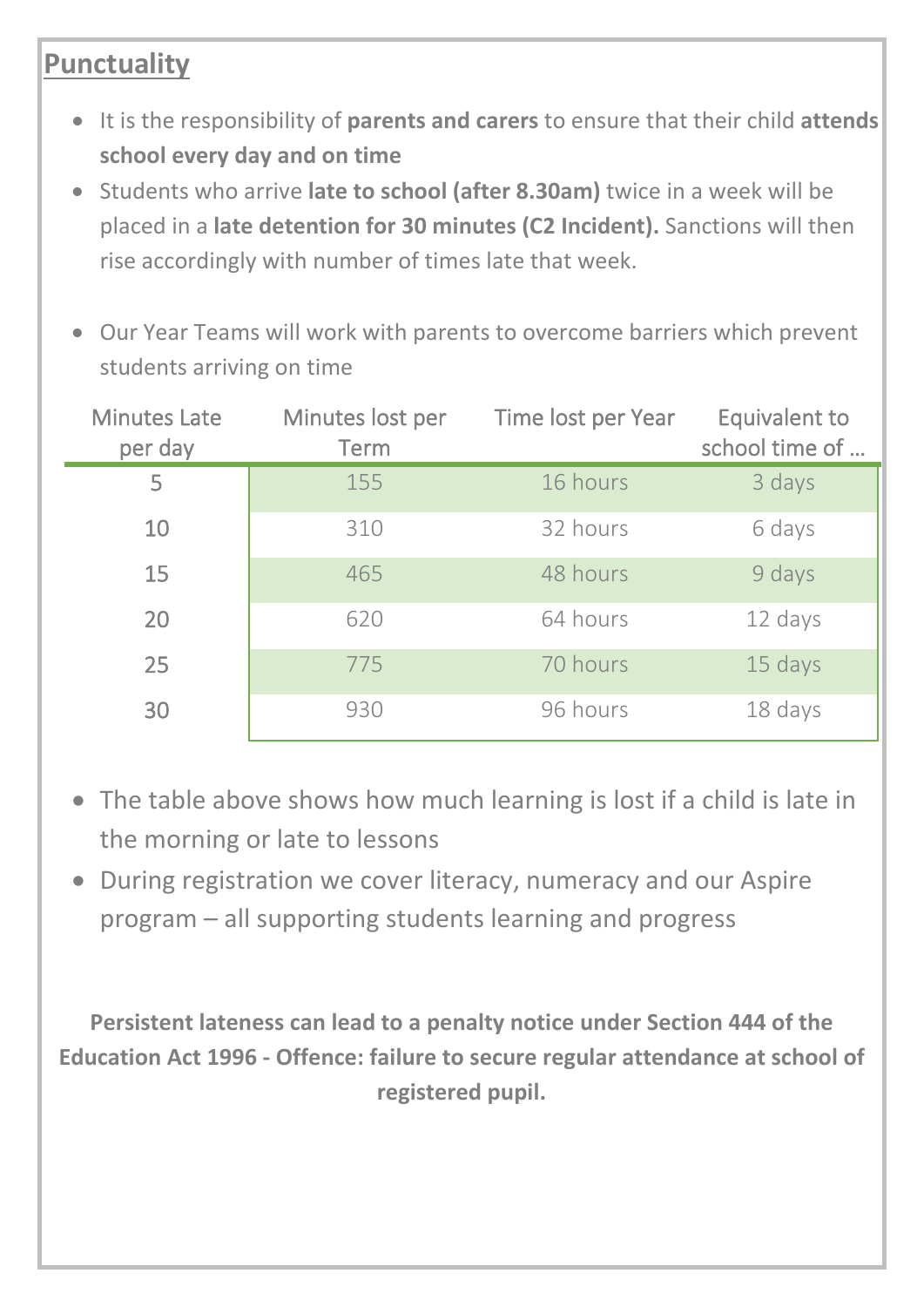## **Punctuality**

- It is the responsibility of **parents and carers** to ensure that their child **attends school every day and on time**
- Students who arrive **late to school (after 8.30am)** twice in a week will be placed in a **late detention for 30 minutes (C2 Incident).** Sanctions will then rise accordingly with number of times late that week.
- Our Year Teams will work with parents to overcome barriers which prevent students arriving on time

| <b>Minutes Late</b><br>per day | Minutes lost per<br><b>Term</b> | Time lost per Year | <b>Equivalent to</b><br>school time of |
|--------------------------------|---------------------------------|--------------------|----------------------------------------|
| 5                              | 155                             | 16 hours           | 3 days                                 |
| 10                             | 310                             | 32 hours           | 6 days                                 |
| 15                             | 465                             | 48 hours           | 9 days                                 |
| 20                             | 620                             | 64 hours           | 12 days                                |
| 25                             | 775                             | 70 hours           | 15 days                                |
| 30                             | 930                             | 96 hours           | 18 days                                |

- The table above shows how much learning is lost if a child is late in the morning or late to lessons
- During registration we cover literacy, numeracy and our Aspire program – all supporting students learning and progress

**Persistent lateness can lead to a penalty notice under Section 444 of the Education Act 1996 - Offence: failure to secure regular attendance at school of registered pupil.**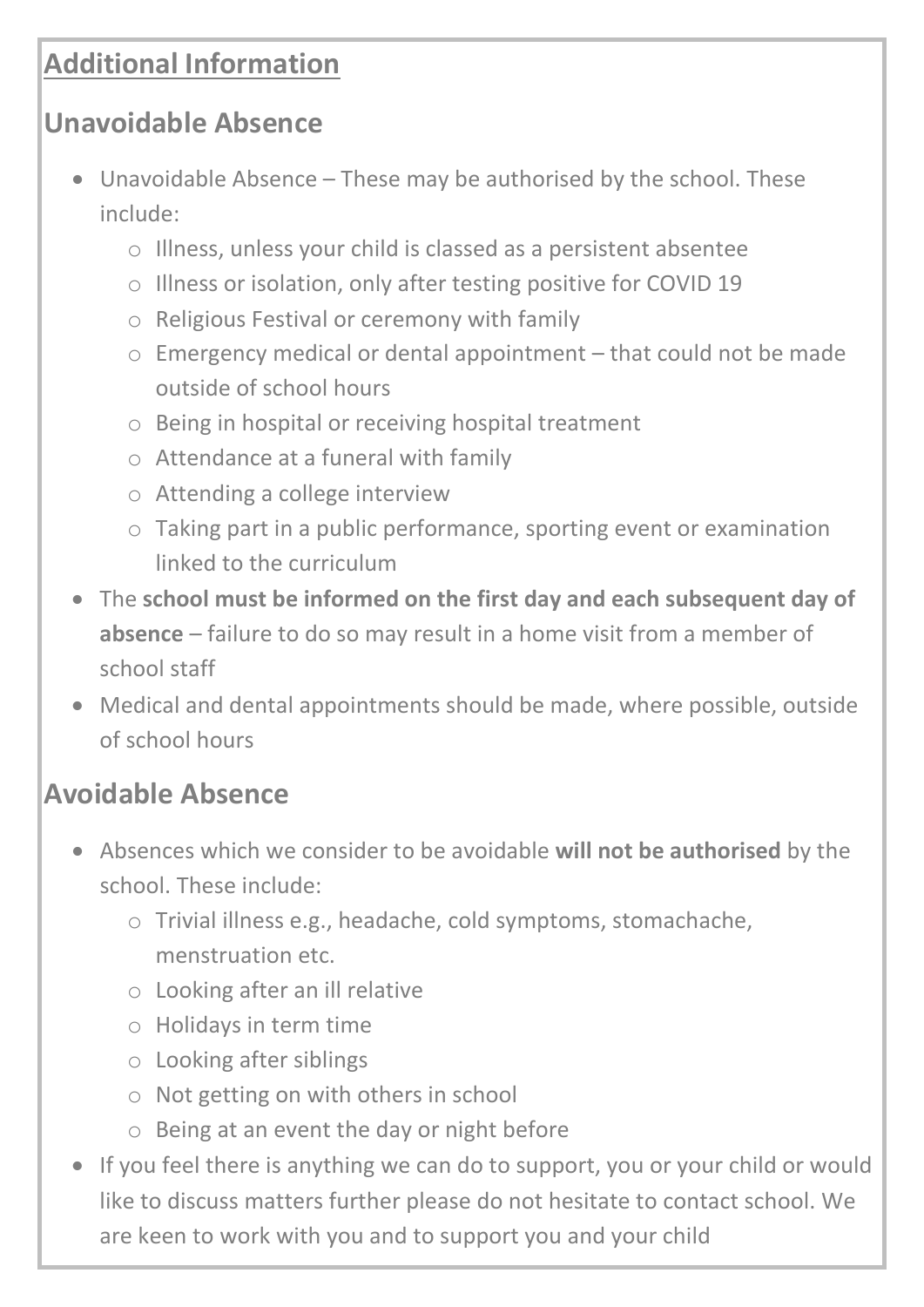## **Additional Information**

## **Unavoidable Absence**

- Unavoidable Absence These may be authorised by the school. These include:
	- o Illness, unless your child is classed as a persistent absentee
	- o Illness or isolation, only after testing positive for COVID 19
	- o Religious Festival or ceremony with family
	- o Emergency medical or dental appointment that could not be made outside of school hours
	- o Being in hospital or receiving hospital treatment
	- o Attendance at a funeral with family
	- o Attending a college interview
	- o Taking part in a public performance, sporting event or examination linked to the curriculum
- The **school must be informed on the first day and each subsequent day of absence** – failure to do so may result in a home visit from a member of school staff
- Medical and dental appointments should be made, where possible, outside of school hours

## **Avoidable Absence**

- Absences which we consider to be avoidable **will not be authorised** by the school. These include:
	- o Trivial illness e.g., headache, cold symptoms, stomachache, menstruation etc.
	- o Looking after an ill relative
	- o Holidays in term time
	- o Looking after siblings
	- o Not getting on with others in school
	- o Being at an event the day or night before
- If you feel there is anything we can do to support, you or your child or would like to discuss matters further please do not hesitate to contact school. We are keen to work with you and to support you and your child